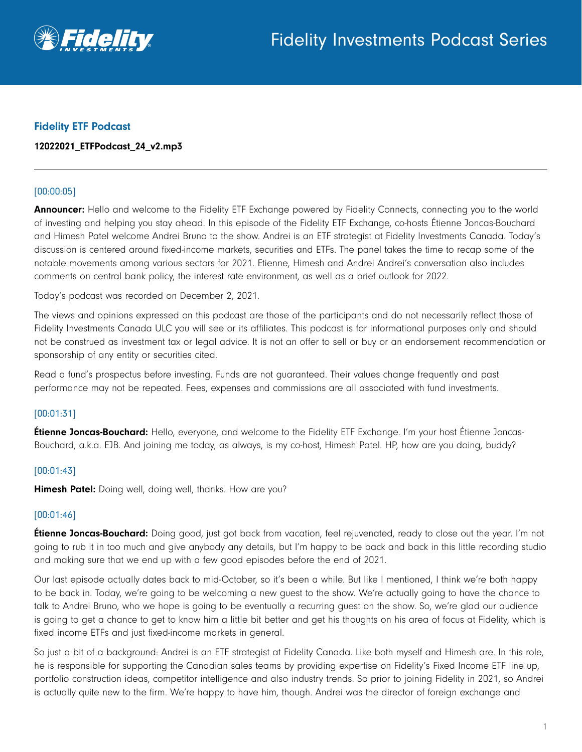

## Fidelity ETF Podcast

## 12022021\_ETFPodcast\_24\_v2.mp3

## [00:00:05]

Announcer: Hello and welcome to the Fidelity ETF Exchange powered by Fidelity Connects, connecting you to the world of investing and helping you stay ahead. In this episode of the Fidelity ETF Exchange, co-hosts Étienne Joncas-Bouchard and Himesh Patel welcome Andrei Bruno to the show. Andrei is an ETF strategist at Fidelity Investments Canada. Today's discussion is centered around fixed-income markets, securities and ETFs. The panel takes the time to recap some of the notable movements among various sectors for 2021. Etienne, Himesh and Andrei Andrei's conversation also includes comments on central bank policy, the interest rate environment, as well as a brief outlook for 2022.

Today's podcast was recorded on December 2, 2021.

The views and opinions expressed on this podcast are those of the participants and do not necessarily reflect those of Fidelity Investments Canada ULC you will see or its affiliates. This podcast is for informational purposes only and should not be construed as investment tax or legal advice. It is not an offer to sell or buy or an endorsement recommendation or sponsorship of any entity or securities cited.

Read a fund's prospectus before investing. Funds are not guaranteed. Their values change frequently and past performance may not be repeated. Fees, expenses and commissions are all associated with fund investments.

## [00:01:31]

**Étienne Joncas-Bouchard:** Hello, everyone, and welcome to the Fidelity ETF Exchange. I'm your host Étienne Joncas-Bouchard, a.k.a. EJB. And joining me today, as always, is my co-host, Himesh Patel. HP, how are you doing, buddy?

## [00:01:43]

Himesh Patel: Doing well, doing well, thanks. How are you?

## [00:01:46]

**Étienne Joncas-Bouchard:** Doing good, just got back from vacation, feel rejuvenated, ready to close out the year. I'm not going to rub it in too much and give anybody any details, but I'm happy to be back and back in this little recording studio and making sure that we end up with a few good episodes before the end of 2021.

Our last episode actually dates back to mid-October, so it's been a while. But like I mentioned, I think we're both happy to be back in. Today, we're going to be welcoming a new guest to the show. We're actually going to have the chance to talk to Andrei Bruno, who we hope is going to be eventually a recurring guest on the show. So, we're glad our audience is going to get a chance to get to know him a little bit better and get his thoughts on his area of focus at Fidelity, which is fixed income ETFs and just fixed-income markets in general.

So just a bit of a background: Andrei is an ETF strategist at Fidelity Canada. Like both myself and Himesh are. In this role, he is responsible for supporting the Canadian sales teams by providing expertise on Fidelity's Fixed Income ETF line up, portfolio construction ideas, competitor intelligence and also industry trends. So prior to joining Fidelity in 2021, so Andrei is actually quite new to the firm. We're happy to have him, though. Andrei was the director of foreign exchange and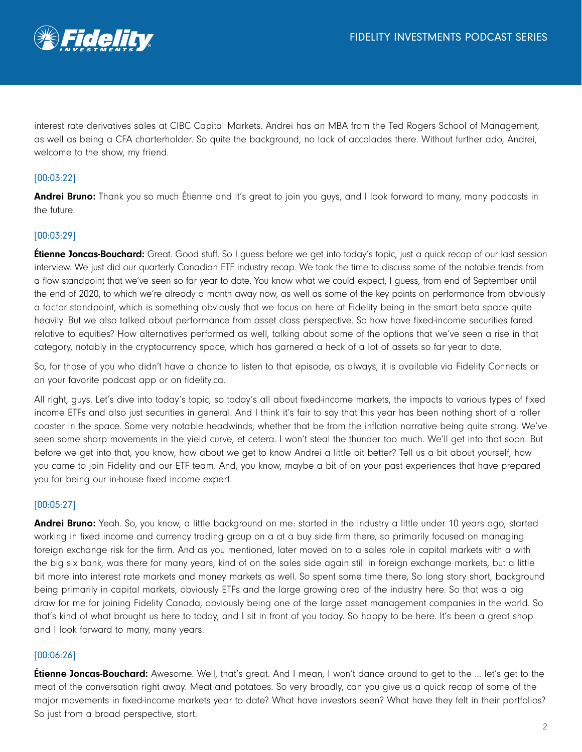

interest rate derivatives sales at CIBC Capital Markets. Andrei has an MBA from the Ted Rogers School of Management, as well as being a CFA charterholder. So quite the background, no lack of accolades there. Without further ado, Andrei, welcome to the show, my friend.

# [00:03:22]

Andrei Bruno: Thank you so much Étienne and it's great to join you guys, and I look forward to many, many podcasts in the future.

# [00:03:29]

**Étienne Joncas-Bouchard:** Great. Good stuff. So I quess before we get into today's topic, just a quick recap of our last session interview. We just did our quarterly Canadian ETF industry recap. We took the time to discuss some of the notable trends from a flow standpoint that we've seen so far year to date. You know what we could expect, I guess, from end of September until the end of 2020, to which we're already a month away now, as well as some of the key points on performance from obviously a factor standpoint, which is something obviously that we focus on here at Fidelity being in the smart beta space quite heavily. But we also talked about performance from asset class perspective. So how have fixed-income securities fared relative to equities? How alternatives performed as well, talking about some of the options that we've seen a rise in that category, notably in the cryptocurrency space, which has garnered a heck of a lot of assets so far year to date.

So, for those of you who didn't have a chance to listen to that episode, as always, it is available via Fidelity Connects or on your favorite podcast app or on fidelity.ca.

All right, guys. Let's dive into today's topic, so today's all about fixed-income markets, the impacts to various types of fixed income ETFs and also just securities in general. And I think it's fair to say that this year has been nothing short of a roller coaster in the space. Some very notable headwinds, whether that be from the inflation narrative being quite strong. We've seen some sharp movements in the yield curve, et cetera. I won't steal the thunder too much. We'll get into that soon. But before we get into that, you know, how about we get to know Andrei a little bit better? Tell us a bit about yourself, how you came to join Fidelity and our ETF team. And, you know, maybe a bit of on your past experiences that have prepared you for being our in-house fixed income expert.

# [00:05:27]

**Andrei Bruno:** Yeah. So, you know, a little background on me: started in the industry a little under 10 years ago, started working in fixed income and currency trading group on a at a buy side firm there, so primarily focused on managing foreign exchange risk for the firm. And as you mentioned, later moved on to a sales role in capital markets with a with the big six bank, was there for many years, kind of on the sales side again still in foreign exchange markets, but a little bit more into interest rate markets and money markets as well. So spent some time there, So long story short, background being primarily in capital markets, obviously ETFs and the large growing area of the industry here. So that was a big draw for me for joining Fidelity Canada, obviously being one of the large asset management companies in the world. So that's kind of what brought us here to today, and I sit in front of you today. So happy to be here. It's been a great shop and I look forward to many, many years.

## [00:06:26]

**Étienne Joncas-Bouchard:** Awesome. Well, that's great. And I mean, I won't dance around to get to the ... let's get to the meat of the conversation right away. Meat and potatoes. So very broadly, can you give us a quick recap of some of the major movements in fixed-income markets year to date? What have investors seen? What have they felt in their portfolios? So just from a broad perspective, start.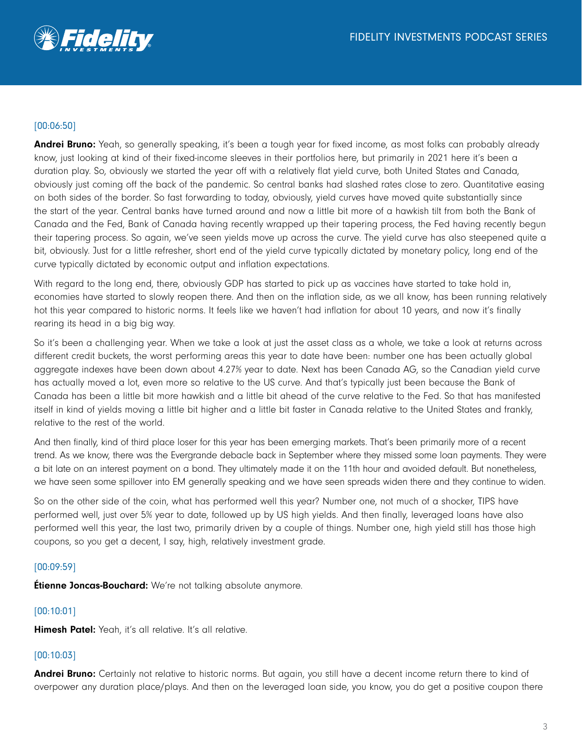

# [00:06:50]

Andrei Bruno: Yeah, so generally speaking, it's been a tough year for fixed income, as most folks can probably already know, just looking at kind of their fixed-income sleeves in their portfolios here, but primarily in 2021 here it's been a duration play. So, obviously we started the year off with a relatively flat yield curve, both United States and Canada, obviously just coming off the back of the pandemic. So central banks had slashed rates close to zero. Quantitative easing on both sides of the border. So fast forwarding to today, obviously, yield curves have moved quite substantially since the start of the year. Central banks have turned around and now a little bit more of a hawkish tilt from both the Bank of Canada and the Fed, Bank of Canada having recently wrapped up their tapering process, the Fed having recently begun their tapering process. So again, we've seen yields move up across the curve. The yield curve has also steepened quite a bit, obviously. Just for a little refresher, short end of the yield curve typically dictated by monetary policy, long end of the curve typically dictated by economic output and inflation expectations.

With regard to the long end, there, obviously GDP has started to pick up as vaccines have started to take hold in, economies have started to slowly reopen there. And then on the inflation side, as we all know, has been running relatively hot this year compared to historic norms. It feels like we haven't had inflation for about 10 years, and now it's finally rearing its head in a big big way.

So it's been a challenging year. When we take a look at just the asset class as a whole, we take a look at returns across different credit buckets, the worst performing areas this year to date have been: number one has been actually global aggregate indexes have been down about 4.27% year to date. Next has been Canada AG, so the Canadian yield curve has actually moved a lot, even more so relative to the US curve. And that's typically just been because the Bank of Canada has been a little bit more hawkish and a little bit ahead of the curve relative to the Fed. So that has manifested itself in kind of yields moving a little bit higher and a little bit faster in Canada relative to the United States and frankly, relative to the rest of the world.

And then finally, kind of third place loser for this year has been emerging markets. That's been primarily more of a recent trend. As we know, there was the Evergrande debacle back in September where they missed some loan payments. They were a bit late on an interest payment on a bond. They ultimately made it on the 11th hour and avoided default. But nonetheless, we have seen some spillover into EM generally speaking and we have seen spreads widen there and they continue to widen.

So on the other side of the coin, what has performed well this year? Number one, not much of a shocker, TIPS have performed well, just over 5% year to date, followed up by US high yields. And then finally, leveraged loans have also performed well this year, the last two, primarily driven by a couple of things. Number one, high yield still has those high coupons, so you get a decent, I say, high, relatively investment grade.

# [00:09:59]

**Étienne Joncas-Bouchard:** We're not talking absolute anymore.

# [00:10:01]

Himesh Patel: Yeah, it's all relative. It's all relative.

## [00:10:03]

Andrei Bruno: Certainly not relative to historic norms. But again, you still have a decent income return there to kind of overpower any duration place/plays. And then on the leveraged loan side, you know, you do get a positive coupon there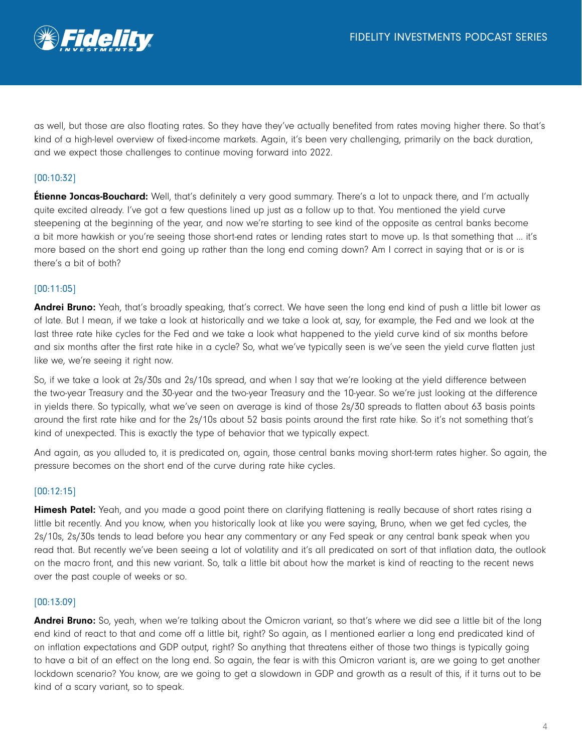

as well, but those are also floating rates. So they have they've actually benefited from rates moving higher there. So that's kind of a high-level overview of fixed-income markets. Again, it's been very challenging, primarily on the back duration, and we expect those challenges to continue moving forward into 2022.

# [00:10:32]

**Etienne Joncas-Bouchard:** Well, that's definitely a very good summary. There's a lot to unpack there, and I'm actually quite excited already. I've got a few questions lined up just as a follow up to that. You mentioned the yield curve steepening at the beginning of the year, and now we're starting to see kind of the opposite as central banks become a bit more hawkish or you're seeing those short-end rates or lending rates start to move up. Is that something that … it's more based on the short end going up rather than the long end coming down? Am I correct in saying that or is or is there's a bit of both?

#### [00:11:05]

Andrei Bruno: Yeah, that's broadly speaking, that's correct. We have seen the long end kind of push a little bit lower as of late. But I mean, if we take a look at historically and we take a look at, say, for example, the Fed and we look at the last three rate hike cycles for the Fed and we take a look what happened to the yield curve kind of six months before and six months after the first rate hike in a cycle? So, what we've typically seen is we've seen the yield curve flatten just like we, we're seeing it right now.

So, if we take a look at 2s/30s and 2s/10s spread, and when I say that we're looking at the yield difference between the two-year Treasury and the 30-year and the two-year Treasury and the 10-year. So we're just looking at the difference in yields there. So typically, what we've seen on average is kind of those 2s/30 spreads to flatten about 63 basis points around the first rate hike and for the 2s/10s about 52 basis points around the first rate hike. So it's not something that's kind of unexpected. This is exactly the type of behavior that we typically expect.

And again, as you alluded to, it is predicated on, again, those central banks moving short-term rates higher. So again, the pressure becomes on the short end of the curve during rate hike cycles.

#### [00:12:15]

Himesh Patel: Yeah, and you made a good point there on clarifying flattening is really because of short rates rising a little bit recently. And you know, when you historically look at like you were saying, Bruno, when we get fed cycles, the 2s/10s, 2s/30s tends to lead before you hear any commentary or any Fed speak or any central bank speak when you read that. But recently we've been seeing a lot of volatility and it's all predicated on sort of that inflation data, the outlook on the macro front, and this new variant. So, talk a little bit about how the market is kind of reacting to the recent news over the past couple of weeks or so.

#### [00:13:09]

Andrei Bruno: So, yeah, when we're talking about the Omicron variant, so that's where we did see a little bit of the long end kind of react to that and come off a little bit, right? So again, as I mentioned earlier a long end predicated kind of on inflation expectations and GDP output, right? So anything that threatens either of those two things is typically going to have a bit of an effect on the long end. So again, the fear is with this Omicron variant is, are we going to get another lockdown scenario? You know, are we going to get a slowdown in GDP and growth as a result of this, if it turns out to be kind of a scary variant, so to speak.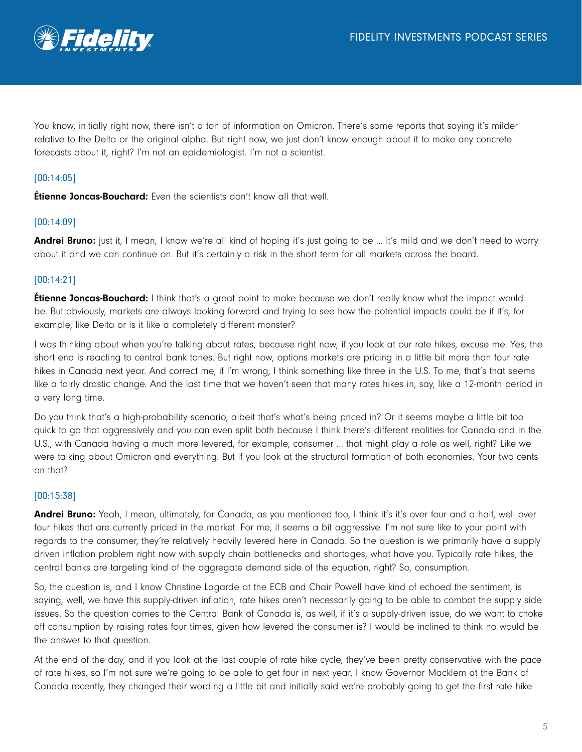

You know, initially right now, there isn't a ton of information on Omicron. There's some reports that saying it's milder relative to the Delta or the original alpha. But right now, we just don't know enough about it to make any concrete forecasts about it, right? I'm not an epidemiologist. I'm not a scientist.

# [00:14:05]

**Étienne Joncas-Bouchard:** Even the scientists don't know all that well.

## [00:14:09]

Andrei Bruno: just it, I mean, I know we're all kind of hoping it's just going to be ... it's mild and we don't need to worry about it and we can continue on. But it's certainly a risk in the short term for all markets across the board.

## [00:14:21]

**Étienne Joncas-Bouchard:** I think that's a great point to make because we don't really know what the impact would be. But obviously, markets are always looking forward and trying to see how the potential impacts could be if it's, for example, like Delta or is it like a completely different monster?

I was thinking about when you're talking about rates, because right now, if you look at our rate hikes, excuse me. Yes, the short end is reacting to central bank tones. But right now, options markets are pricing in a little bit more than four rate hikes in Canada next year. And correct me, if I'm wrong, I think something like three in the U.S. To me, that's that seems like a fairly drastic change. And the last time that we haven't seen that many rates hikes in, say, like a 12-month period in a very long time.

Do you think that's a high-probability scenario, albeit that's what's being priced in? Or it seems maybe a little bit too quick to go that aggressively and you can even split both because I think there's different realities for Canada and in the U.S., with Canada having a much more levered, for example, consumer … that might play a role as well, right? Like we were talking about Omicron and everything. But if you look at the structural formation of both economies. Your two cents on that?

## [00:15:38]

Andrei Bruno: Yeah, I mean, ultimately, for Canada, as you mentioned too, I think it's it's over four and a half, well over four hikes that are currently priced in the market. For me, it seems a bit aggressive. I'm not sure like to your point with regards to the consumer, they're relatively heavily levered here in Canada. So the question is we primarily have a supply driven inflation problem right now with supply chain bottlenecks and shortages, what have you. Typically rate hikes, the central banks are targeting kind of the aggregate demand side of the equation, right? So, consumption.

So, the question is, and I know Christine Lagarde at the ECB and Chair Powell have kind of echoed the sentiment, is saying, well, we have this supply-driven inflation, rate hikes aren't necessarily going to be able to combat the supply side issues. So the question comes to the Central Bank of Canada is, as well, if it's a supply-driven issue, do we want to choke off consumption by raising rates four times, given how levered the consumer is? I would be inclined to think no would be the answer to that question.

At the end of the day, and if you look at the last couple of rate hike cycle, they've been pretty conservative with the pace of rate hikes, so I'm not sure we're going to be able to get four in next year. I know Governor Macklem at the Bank of Canada recently, they changed their wording a little bit and initially said we're probably going to get the first rate hike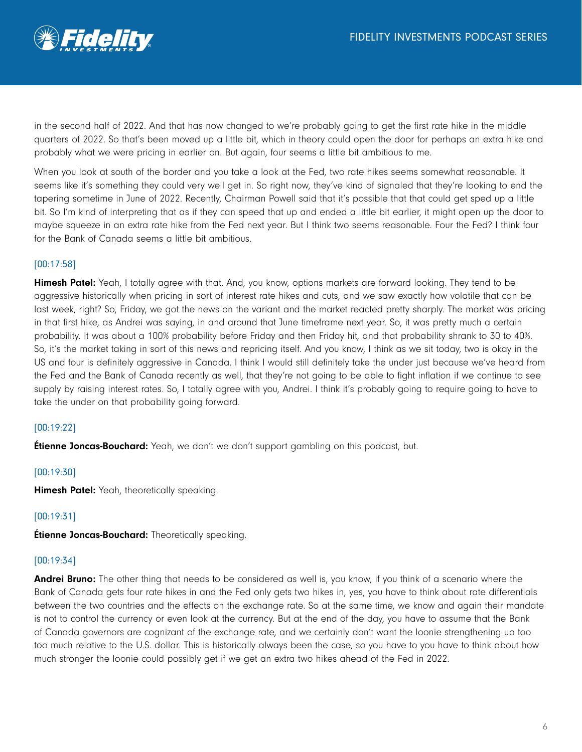

in the second half of 2022. And that has now changed to we're probably going to get the first rate hike in the middle quarters of 2022. So that's been moved up a little bit, which in theory could open the door for perhaps an extra hike and probably what we were pricing in earlier on. But again, four seems a little bit ambitious to me.

When you look at south of the border and you take a look at the Fed, two rate hikes seems somewhat reasonable. It seems like it's something they could very well get in. So right now, they've kind of signaled that they're looking to end the tapering sometime in June of 2022. Recently, Chairman Powell said that it's possible that that could get sped up a little bit. So I'm kind of interpreting that as if they can speed that up and ended a little bit earlier, it might open up the door to maybe squeeze in an extra rate hike from the Fed next year. But I think two seems reasonable. Four the Fed? I think four for the Bank of Canada seems a little bit ambitious.

## [00:17:58]

Himesh Patel: Yeah, I totally agree with that. And, you know, options markets are forward looking. They tend to be aggressive historically when pricing in sort of interest rate hikes and cuts, and we saw exactly how volatile that can be last week, right? So, Friday, we got the news on the variant and the market reacted pretty sharply. The market was pricing in that first hike, as Andrei was saying, in and around that June timeframe next year. So, it was pretty much a certain probability. It was about a 100% probability before Friday and then Friday hit, and that probability shrank to 30 to 40%. So, it's the market taking in sort of this news and repricing itself. And you know, I think as we sit today, two is okay in the US and four is definitely aggressive in Canada. I think I would still definitely take the under just because we've heard from the Fed and the Bank of Canada recently as well, that they're not going to be able to fight inflation if we continue to see supply by raising interest rates. So, I totally agree with you, Andrei. I think it's probably going to require going to have to take the under on that probability going forward.

## [00:19:22]

**Étienne Joncas-Bouchard:** Yeah, we don't we don't support gambling on this podcast, but.

## [00:19:30]

Himesh Patel: Yeah, theoretically speaking.

# [00:19:31]

**Étienne Joncas-Bouchard:** Theoretically speaking.

## [00:19:34]

Andrei Bruno: The other thing that needs to be considered as well is, you know, if you think of a scenario where the Bank of Canada gets four rate hikes in and the Fed only gets two hikes in, yes, you have to think about rate differentials between the two countries and the effects on the exchange rate. So at the same time, we know and again their mandate is not to control the currency or even look at the currency. But at the end of the day, you have to assume that the Bank of Canada governors are cognizant of the exchange rate, and we certainly don't want the loonie strengthening up too too much relative to the U.S. dollar. This is historically always been the case, so you have to you have to think about how much stronger the loonie could possibly get if we get an extra two hikes ahead of the Fed in 2022.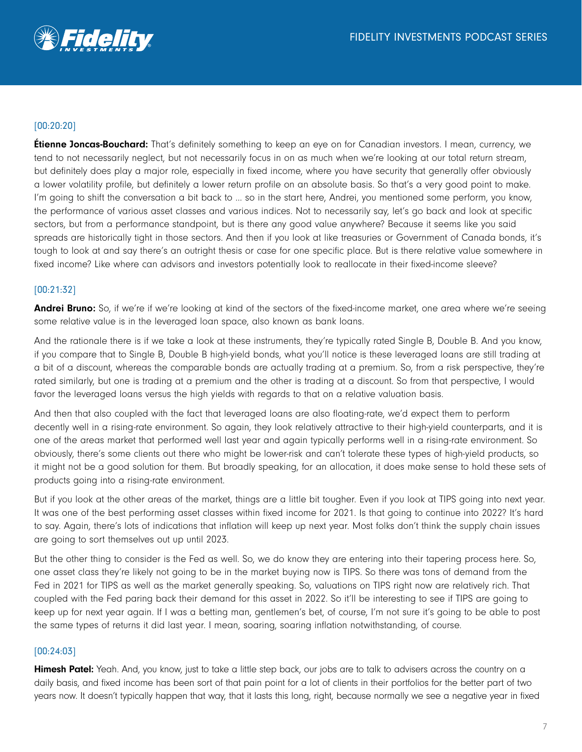

# [00:20:20]

**Étienne Joncas-Bouchard:** That's definitely something to keep an eye on for Canadian investors. I mean, currency, we tend to not necessarily neglect, but not necessarily focus in on as much when we're looking at our total return stream, but definitely does play a major role, especially in fixed income, where you have security that generally offer obviously a lower volatility profile, but definitely a lower return profile on an absolute basis. So that's a very good point to make. I'm going to shift the conversation a bit back to ... so in the start here, Andrei, you mentioned some perform, you know, the performance of various asset classes and various indices. Not to necessarily say, let's go back and look at specific sectors, but from a performance standpoint, but is there any good value anywhere? Because it seems like you said spreads are historically tight in those sectors. And then if you look at like treasuries or Government of Canada bonds, it's tough to look at and say there's an outright thesis or case for one specific place. But is there relative value somewhere in fixed income? Like where can advisors and investors potentially look to reallocate in their fixed-income sleeve?

## [00:21:32]

Andrei Bruno: So, if we're if we're looking at kind of the sectors of the fixed-income market, one area where we're seeing some relative value is in the leveraged loan space, also known as bank loans.

And the rationale there is if we take a look at these instruments, they're typically rated Single B, Double B. And you know, if you compare that to Single B, Double B high-yield bonds, what you'll notice is these leveraged loans are still trading at a bit of a discount, whereas the comparable bonds are actually trading at a premium. So, from a risk perspective, they're rated similarly, but one is trading at a premium and the other is trading at a discount. So from that perspective, I would favor the leveraged loans versus the high yields with regards to that on a relative valuation basis.

And then that also coupled with the fact that leveraged loans are also floating-rate, we'd expect them to perform decently well in a rising-rate environment. So again, they look relatively attractive to their high-yield counterparts, and it is one of the areas market that performed well last year and again typically performs well in a rising-rate environment. So obviously, there's some clients out there who might be lower-risk and can't tolerate these types of high-yield products, so it might not be a good solution for them. But broadly speaking, for an allocation, it does make sense to hold these sets of products going into a rising-rate environment.

But if you look at the other areas of the market, things are a little bit tougher. Even if you look at TIPS going into next year. It was one of the best performing asset classes within fixed income for 2021. Is that going to continue into 2022? It's hard to say. Again, there's lots of indications that inflation will keep up next year. Most folks don't think the supply chain issues are going to sort themselves out up until 2023.

But the other thing to consider is the Fed as well. So, we do know they are entering into their tapering process here. So, one asset class they're likely not going to be in the market buying now is TIPS. So there was tons of demand from the Fed in 2021 for TIPS as well as the market generally speaking. So, valuations on TIPS right now are relatively rich. That coupled with the Fed paring back their demand for this asset in 2022. So it'll be interesting to see if TIPS are going to keep up for next year again. If I was a betting man, gentlemen's bet, of course, I'm not sure it's going to be able to post the same types of returns it did last year. I mean, soaring, soaring inflation notwithstanding, of course.

## [00:24:03]

Himesh Patel: Yeah. And, you know, just to take a little step back, our jobs are to talk to advisers across the country on a daily basis, and fixed income has been sort of that pain point for a lot of clients in their portfolios for the better part of two years now. It doesn't typically happen that way, that it lasts this long, right, because normally we see a negative year in fixed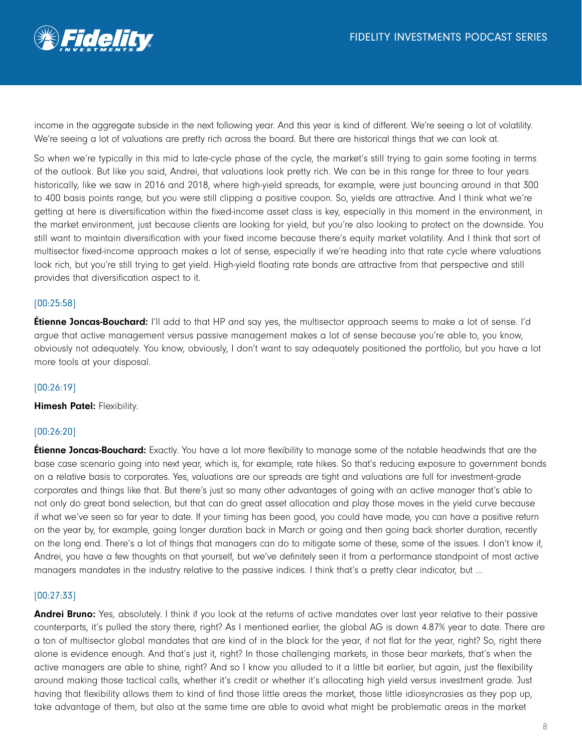

income in the aggregate subside in the next following year. And this year is kind of different. We're seeing a lot of volatility. We're seeing a lot of valuations are pretty rich across the board. But there are historical things that we can look at.

So when we're typically in this mid to late-cycle phase of the cycle, the market's still trying to gain some footing in terms of the outlook. But like you said, Andrei, that valuations look pretty rich. We can be in this range for three to four years historically, like we saw in 2016 and 2018, where high-yield spreads, for example, were just bouncing around in that 300 to 400 basis points range, but you were still clipping a positive coupon. So, yields are attractive. And I think what we're getting at here is diversification within the fixed-income asset class is key, especially in this moment in the environment, in the market environment, just because clients are looking for yield, but you're also looking to protect on the downside. You still want to maintain diversification with your fixed income because there's equity market volatility. And I think that sort of multisector fixed-income approach makes a lot of sense, especially if we're heading into that rate cycle where valuations look rich, but you're still trying to get yield. High-yield floating rate bonds are attractive from that perspective and still provides that diversification aspect to it.

## [00:25:58]

**Étienne Joncas-Bouchard:** I'll add to that HP and say yes, the multisector approach seems to make a lot of sense. I'd argue that active management versus passive management makes a lot of sense because you're able to, you know, obviously not adequately. You know, obviously, I don't want to say adequately positioned the portfolio, but you have a lot more tools at your disposal.

#### [00:26:19]

Himesh Patel: Flexibility.

#### [00:26:20]

**Étienne Joncas-Bouchard:** Exactly. You have a lot more flexibility to manage some of the notable headwinds that are the base case scenario going into next year, which is, for example, rate hikes. So that's reducing exposure to government bonds on a relative basis to corporates. Yes, valuations are our spreads are tight and valuations are full for investment-grade corporates and things like that. But there's just so many other advantages of going with an active manager that's able to not only do great bond selection, but that can do great asset allocation and play those moves in the yield curve because if what we've seen so far year to date. If your timing has been good, you could have made, you can have a positive return on the year by, for example, going longer duration back in March or going and then going back shorter duration, recently on the long end. There's a lot of things that managers can do to mitigate some of these, some of the issues. I don't know if, Andrei, you have a few thoughts on that yourself, but we've definitely seen it from a performance standpoint of most active managers mandates in the industry relative to the passive indices. I think that's a pretty clear indicator, but …

#### [00:27:33]

**Andrei Bruno:** Yes, absolutely. I think if you look at the returns of active mandates over last year relative to their passive counterparts, it's pulled the story there, right? As I mentioned earlier, the global AG is down 4.87% year to date. There are a ton of multisector global mandates that are kind of in the black for the year, if not flat for the year, right? So, right there alone is evidence enough. And that's just it, right? In those challenging markets, in those bear markets, that's when the active managers are able to shine, right? And so I know you alluded to it a little bit earlier, but again, just the flexibility around making those tactical calls, whether it's credit or whether it's allocating high yield versus investment grade. Just having that flexibility allows them to kind of find those little areas the market, those little idiosyncrasies as they pop up, take advantage of them, but also at the same time are able to avoid what might be problematic areas in the market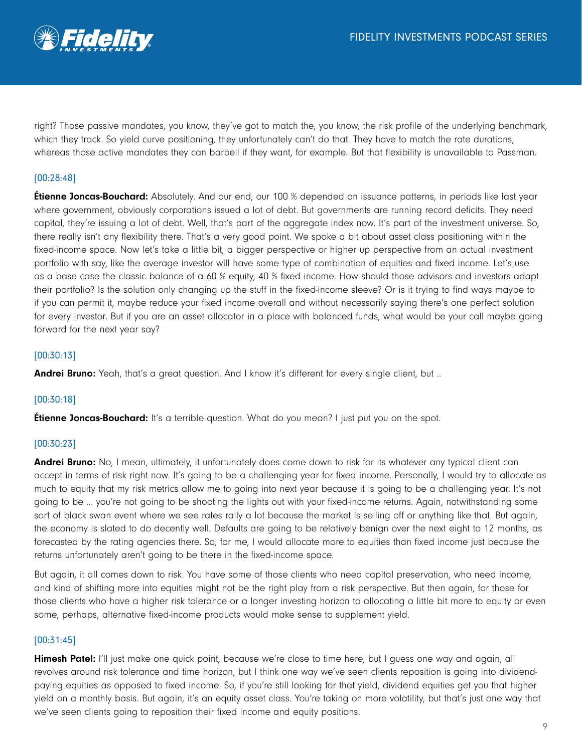

right? Those passive mandates, you know, they've got to match the, you know, the risk profile of the underlying benchmark, which they track. So yield curve positioning, they unfortunately can't do that. They have to match the rate durations, whereas those active mandates they can barbell if they want, for example. But that flexibility is unavailable to Passman.

# [00:28:48]

**Etienne Joncas-Bouchard:** Absolutely. And our end, our 100 % depended on issuance patterns, in periods like last year where government, obviously corporations issued a lot of debt. But governments are running record deficits. They need capital, they're issuing a lot of debt. Well, that's part of the aggregate index now. It's part of the investment universe. So, there really isn't any flexibility there. That's a very good point. We spoke a bit about asset class positioning within the fixed-income space. Now let's take a little bit, a bigger perspective or higher up perspective from an actual investment portfolio with say, like the average investor will have some type of combination of equities and fixed income. Let's use as a base case the classic balance of a 60 % equity, 40 % fixed income. How should those advisors and investors adapt their portfolio? Is the solution only changing up the stuff in the fixed-income sleeve? Or is it trying to find ways maybe to if you can permit it, maybe reduce your fixed income overall and without necessarily saying there's one perfect solution for every investor. But if you are an asset allocator in a place with balanced funds, what would be your call maybe going forward for the next year say?

## [00:30:13]

**Andrei Bruno:** Yeah, that's a great question. And I know it's different for every single client, but ...

## [00:30:18]

**Étienne Joncas-Bouchard:** It's a terrible question. What do you mean? I just put you on the spot.

## [00:30:23]

Andrei Bruno: No, I mean, ultimately, it unfortunately does come down to risk for its whatever any typical client can accept in terms of risk right now. It's going to be a challenging year for fixed income. Personally, I would try to allocate as much to equity that my risk metrics allow me to going into next year because it is going to be a challenging year. It's not going to be … you're not going to be shooting the lights out with your fixed-income returns. Again, notwithstanding some sort of black swan event where we see rates rally a lot because the market is selling off or anything like that. But again, the economy is slated to do decently well. Defaults are going to be relatively benign over the next eight to 12 months, as forecasted by the rating agencies there. So, for me, I would allocate more to equities than fixed income just because the returns unfortunately aren't going to be there in the fixed-income space.

But again, it all comes down to risk. You have some of those clients who need capital preservation, who need income, and kind of shifting more into equities might not be the right play from a risk perspective. But then again, for those for those clients who have a higher risk tolerance or a longer investing horizon to allocating a little bit more to equity or even some, perhaps, alternative fixed-income products would make sense to supplement yield.

## [00:31:45]

Himesh Patel: I'll just make one quick point, because we're close to time here, but I quess one way and again, all revolves around risk tolerance and time horizon, but I think one way we've seen clients reposition is going into dividendpaying equities as opposed to fixed income. So, if you're still looking for that yield, dividend equities get you that higher yield on a monthly basis. But again, it's an equity asset class. You're taking on more volatility, but that's just one way that we've seen clients going to reposition their fixed income and equity positions.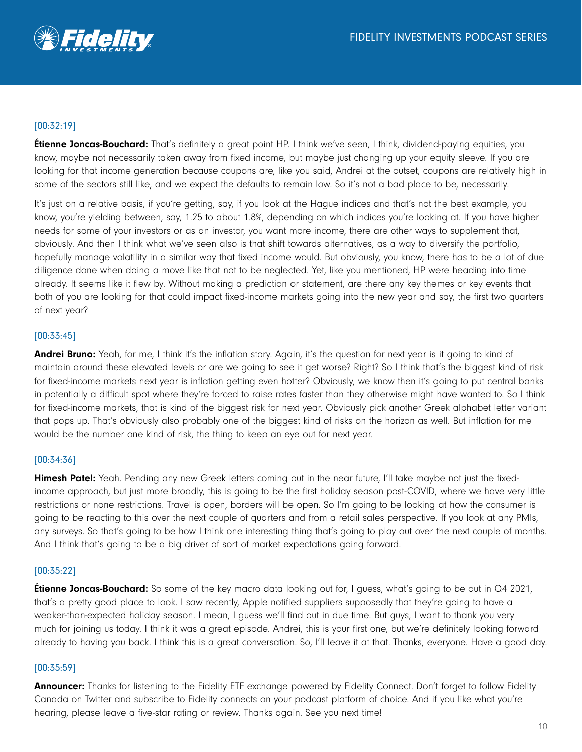

# [00:32:19]

**Étienne Joncas-Bouchard:** That's definitely a great point HP. I think we've seen, I think, dividend-paying equities, you know, maybe not necessarily taken away from fixed income, but maybe just changing up your equity sleeve. If you are looking for that income generation because coupons are, like you said, Andrei at the outset, coupons are relatively high in some of the sectors still like, and we expect the defaults to remain low. So it's not a bad place to be, necessarily.

It's just on a relative basis, if you're getting, say, if you look at the Hague indices and that's not the best example, you know, you're yielding between, say, 1.25 to about 1.8%, depending on which indices you're looking at. If you have higher needs for some of your investors or as an investor, you want more income, there are other ways to supplement that, obviously. And then I think what we've seen also is that shift towards alternatives, as a way to diversify the portfolio, hopefully manage volatility in a similar way that fixed income would. But obviously, you know, there has to be a lot of due diligence done when doing a move like that not to be neglected. Yet, like you mentioned, HP were heading into time already. It seems like it flew by. Without making a prediction or statement, are there any key themes or key events that both of you are looking for that could impact fixed-income markets going into the new year and say, the first two quarters of next year?

## [00:33:45]

Andrei Bruno: Yeah, for me, I think it's the inflation story. Again, it's the question for next year is it going to kind of maintain around these elevated levels or are we going to see it get worse? Right? So I think that's the biggest kind of risk for fixed-income markets next year is inflation getting even hotter? Obviously, we know then it's going to put central banks in potentially a difficult spot where they're forced to raise rates faster than they otherwise might have wanted to. So I think for fixed-income markets, that is kind of the biggest risk for next year. Obviously pick another Greek alphabet letter variant that pops up. That's obviously also probably one of the biggest kind of risks on the horizon as well. But inflation for me would be the number one kind of risk, the thing to keep an eye out for next year.

## [00:34:36]

**Himesh Patel:** Yeah. Pending any new Greek letters coming out in the near future, I'll take maybe not just the fixedincome approach, but just more broadly, this is going to be the first holiday season post-COVID, where we have very little restrictions or none restrictions. Travel is open, borders will be open. So I'm going to be looking at how the consumer is going to be reacting to this over the next couple of quarters and from a retail sales perspective. If you look at any PMIs, any surveys. So that's going to be how I think one interesting thing that's going to play out over the next couple of months. And I think that's going to be a big driver of sort of market expectations going forward.

## [00:35:22]

**Étienne Joncas-Bouchard:** So some of the key macro data looking out for, I quess, what's going to be out in Q4 2021, that's a pretty good place to look. I saw recently, Apple notified suppliers supposedly that they're going to have a weaker-than-expected holiday season. I mean, I guess we'll find out in due time. But guys, I want to thank you very much for joining us today. I think it was a great episode. Andrei, this is your first one, but we're definitely looking forward already to having you back. I think this is a great conversation. So, I'll leave it at that. Thanks, everyone. Have a good day.

## [00:35:59]

**Announcer:** Thanks for listening to the Fidelity ETF exchange powered by Fidelity Connect. Don't forget to follow Fidelity Canada on Twitter and subscribe to Fidelity connects on your podcast platform of choice. And if you like what you're hearing, please leave a five-star rating or review. Thanks again. See you next time!